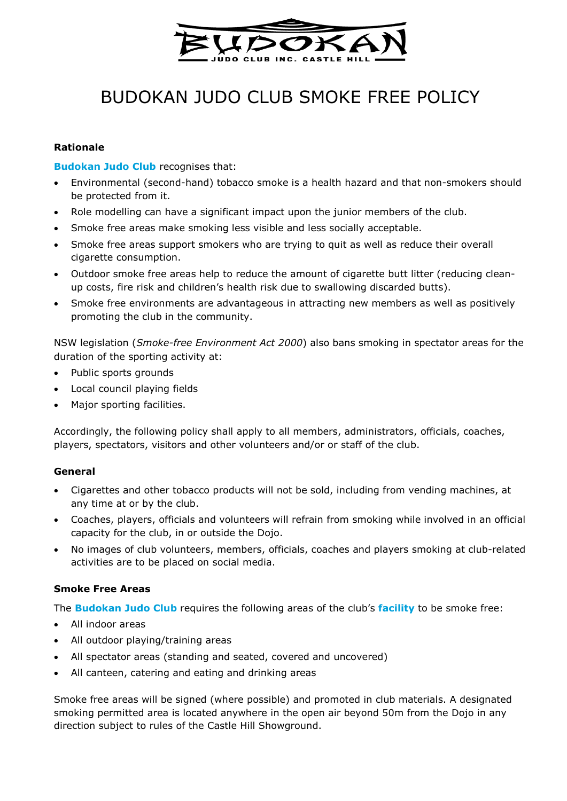

# BUDOKAN JUDO CLUB SMOKE FREE POLICY

#### **Rationale**

#### **Budokan Judo Club** recognises that:

- Environmental (second-hand) tobacco smoke is a health hazard and that non-smokers should be protected from it.
- Role modelling can have a significant impact upon the junior members of the club.
- Smoke free areas make smoking less visible and less socially acceptable.
- Smoke free areas support smokers who are trying to quit as well as reduce their overall cigarette consumption.
- Outdoor smoke free areas help to reduce the amount of cigarette butt litter (reducing cleanup costs, fire risk and children's health risk due to swallowing discarded butts).
- Smoke free environments are advantageous in attracting new members as well as positively promoting the club in the community.

NSW legislation (*Smoke-free Environment Act 2000*) also bans smoking in spectator areas for the duration of the sporting activity at:

- Public sports grounds
- Local council playing fields
- Major sporting facilities.

Accordingly, the following policy shall apply to all members, administrators, officials, coaches, players, spectators, visitors and other volunteers and/or or staff of the club.

#### **General**

- Cigarettes and other tobacco products will not be sold, including from vending machines, at any time at or by the club.
- Coaches, players, officials and volunteers will refrain from smoking while involved in an official capacity for the club, in or outside the Dojo.
- No images of club volunteers, members, officials, coaches and players smoking at club-related activities are to be placed on social media.

#### **Smoke Free Areas**

The **Budokan Judo Club** requires the following areas of the club's **facility** to be smoke free:

- All indoor areas
- All outdoor playing/training areas
- All spectator areas (standing and seated, covered and uncovered)
- All canteen, catering and eating and drinking areas

Smoke free areas will be signed (where possible) and promoted in club materials. A designated smoking permitted area is located anywhere in the open air beyond 50m from the Dojo in any direction subject to rules of the Castle Hill Showground.